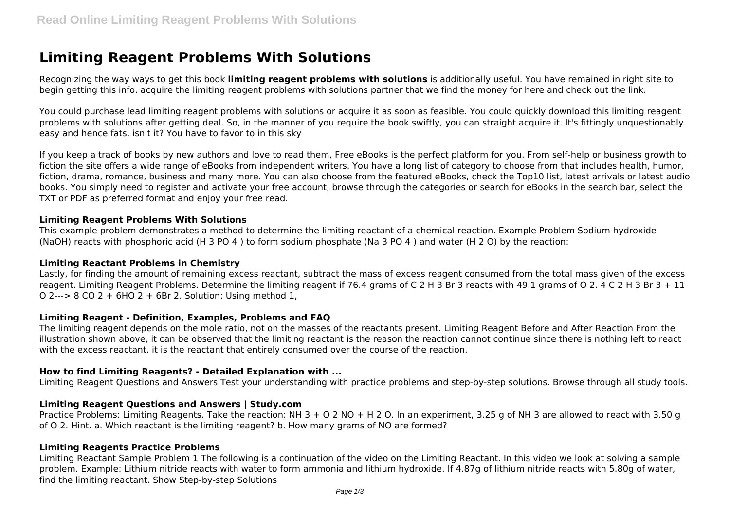# **Limiting Reagent Problems With Solutions**

Recognizing the way ways to get this book **limiting reagent problems with solutions** is additionally useful. You have remained in right site to begin getting this info. acquire the limiting reagent problems with solutions partner that we find the money for here and check out the link.

You could purchase lead limiting reagent problems with solutions or acquire it as soon as feasible. You could quickly download this limiting reagent problems with solutions after getting deal. So, in the manner of you require the book swiftly, you can straight acquire it. It's fittingly unquestionably easy and hence fats, isn't it? You have to favor to in this sky

If you keep a track of books by new authors and love to read them, Free eBooks is the perfect platform for you. From self-help or business growth to fiction the site offers a wide range of eBooks from independent writers. You have a long list of category to choose from that includes health, humor, fiction, drama, romance, business and many more. You can also choose from the featured eBooks, check the Top10 list, latest arrivals or latest audio books. You simply need to register and activate your free account, browse through the categories or search for eBooks in the search bar, select the TXT or PDF as preferred format and enjoy your free read.

## **Limiting Reagent Problems With Solutions**

This example problem demonstrates a method to determine the limiting reactant of a chemical reaction. Example Problem Sodium hydroxide (NaOH) reacts with phosphoric acid (H 3 PO 4 ) to form sodium phosphate (Na 3 PO 4 ) and water (H 2 O) by the reaction:

#### **Limiting Reactant Problems in Chemistry**

Lastly, for finding the amount of remaining excess reactant, subtract the mass of excess reagent consumed from the total mass given of the excess reagent. Limiting Reagent Problems. Determine the limiting reagent if 76.4 grams of C 2 H 3 Br 3 reacts with 49.1 grams of Q 2, 4 C 2 H 3 Br 3 + 11 O 2---> 8 CO 2 + 6HO 2 + 6Br 2. Solution: Using method 1,

#### **Limiting Reagent - Definition, Examples, Problems and FAQ**

The limiting reagent depends on the mole ratio, not on the masses of the reactants present. Limiting Reagent Before and After Reaction From the illustration shown above, it can be observed that the limiting reactant is the reason the reaction cannot continue since there is nothing left to react with the excess reactant. it is the reactant that entirely consumed over the course of the reaction.

# **How to find Limiting Reagents? - Detailed Explanation with ...**

Limiting Reagent Questions and Answers Test your understanding with practice problems and step-by-step solutions. Browse through all study tools.

#### **Limiting Reagent Questions and Answers | Study.com**

Practice Problems: Limiting Reagents. Take the reaction: NH 3 + O 2 NO + H 2 O. In an experiment, 3.25 g of NH 3 are allowed to react with 3.50 g of O 2. Hint. a. Which reactant is the limiting reagent? b. How many grams of NO are formed?

#### **Limiting Reagents Practice Problems**

Limiting Reactant Sample Problem 1 The following is a continuation of the video on the Limiting Reactant. In this video we look at solving a sample problem. Example: Lithium nitride reacts with water to form ammonia and lithium hydroxide. If 4.87g of lithium nitride reacts with 5.80g of water, find the limiting reactant. Show Step-by-step Solutions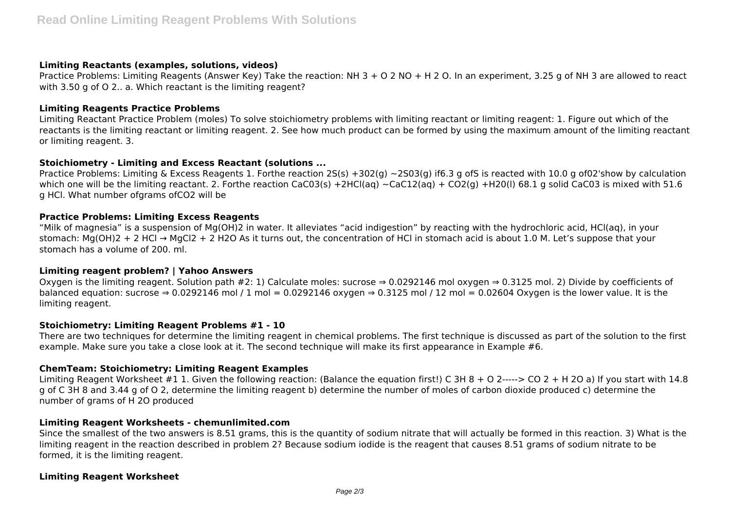#### **Limiting Reactants (examples, solutions, videos)**

Practice Problems: Limiting Reagents (Answer Key) Take the reaction: NH 3 + O 2 NO + H 2 O. In an experiment, 3.25 g of NH 3 are allowed to react with 3.50 g of O 2.. a. Which reactant is the limiting reagent?

## **Limiting Reagents Practice Problems**

Limiting Reactant Practice Problem (moles) To solve stoichiometry problems with limiting reactant or limiting reagent: 1. Figure out which of the reactants is the limiting reactant or limiting reagent. 2. See how much product can be formed by using the maximum amount of the limiting reactant or limiting reagent. 3.

# **Stoichiometry - Limiting and Excess Reactant (solutions ...**

Practice Problems: Limiting & Excess Reagents 1. Forthe reaction  $2S(s) + 302(q) \approx 2503(q)$  if6.3 g ofS is reacted with 10.0 g of02'show by calculation which one will be the limiting reactant. 2. Forthe reaction CaC03(s) +2HCl(aq) ~CaC12(aq) + CO2(g) +H20(l) 68.1 g solid CaC03 is mixed with 51.6 g HCl. What number ofgrams ofCO2 will be

## **Practice Problems: Limiting Excess Reagents**

"Milk of magnesia" is a suspension of Mg(OH)2 in water. It alleviates "acid indigestion" by reacting with the hydrochloric acid, HCl(aq), in your stomach: Mg(OH)2 + 2 HCl → MgCl2 + 2 H2O As it turns out, the concentration of HCl in stomach acid is about 1.0 M. Let's suppose that your stomach has a volume of 200. ml.

# **Limiting reagent problem? | Yahoo Answers**

Oxygen is the limiting reagent. Solution path #2: 1) Calculate moles: sucrose ⇒ 0.0292146 mol oxygen ⇒ 0.3125 mol. 2) Divide by coefficients of balanced equation: sucrose ⇒ 0.0292146 mol / 1 mol = 0.0292146 oxygen ⇒ 0.3125 mol / 12 mol = 0.02604 Oxygen is the lower value. It is the limiting reagent.

# **Stoichiometry: Limiting Reagent Problems #1 - 10**

There are two techniques for determine the limiting reagent in chemical problems. The first technique is discussed as part of the solution to the first example. Make sure you take a close look at it. The second technique will make its first appearance in Example #6.

# **ChemTeam: Stoichiometry: Limiting Reagent Examples**

Limiting Reagent Worksheet #1 1. Given the following reaction: (Balance the equation first!) C 3H 8 + O 2-----> CO 2 + H 2O a) If you start with 14.8 g of C 3H 8 and 3.44 g of O 2, determine the limiting reagent b) determine the number of moles of carbon dioxide produced c) determine the number of grams of H 2O produced

# **Limiting Reagent Worksheets - chemunlimited.com**

Since the smallest of the two answers is 8.51 grams, this is the quantity of sodium nitrate that will actually be formed in this reaction. 3) What is the limiting reagent in the reaction described in problem 2? Because sodium iodide is the reagent that causes 8.51 grams of sodium nitrate to be formed, it is the limiting reagent.

# **Limiting Reagent Worksheet**